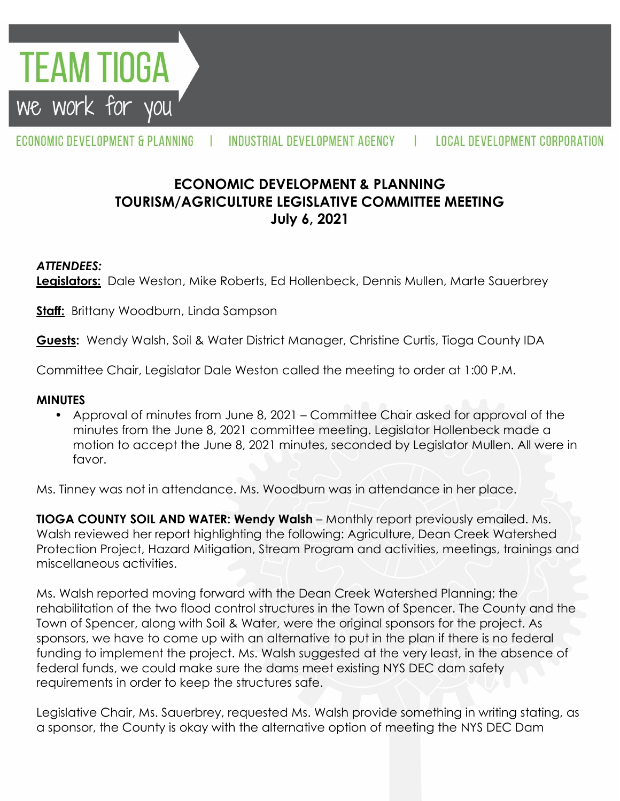**TEAM TIOGA** we work for you

ECONOMIC DEVELOPMENT & PLANNING

INDUSTRIAL DEVELOPMENT AGENCY | LOCAL DEVELOPMENT CORPORATION

# **ECONOMIC DEVELOPMENT & PLANNING TOURISM/AGRICULTURE LEGISLATIVE COMMITTEE MEETING July 6, 2021**

### *ATTENDEES:*

**Legislators:** Dale Weston, Mike Roberts, Ed Hollenbeck, Dennis Mullen, Marte Sauerbrey

**Staff:** Brittany Woodburn, Linda Sampson

**Guests:** Wendy Walsh, Soil & Water District Manager, Christine Curtis, Tioga County IDA

Committee Chair, Legislator Dale Weston called the meeting to order at 1:00 P.M.

#### **MINUTES**

• Approval of minutes from June 8, 2021 – Committee Chair asked for approval of the minutes from the June 8, 2021 committee meeting. Legislator Hollenbeck made a motion to accept the June 8, 2021 minutes, seconded by Legislator Mullen. All were in favor.

Ms. Tinney was not in attendance. Ms. Woodburn was in attendance in her place.

**TIOGA COUNTY SOIL AND WATER: Wendy Walsh** – Monthly report previously emailed. Ms. Walsh reviewed her report highlighting the following: Agriculture, Dean Creek Watershed Protection Project, Hazard Mitigation, Stream Program and activities, meetings, trainings and miscellaneous activities.

Ms. Walsh reported moving forward with the Dean Creek Watershed Planning; the rehabilitation of the two flood control structures in the Town of Spencer. The County and the Town of Spencer, along with Soil & Water, were the original sponsors for the project. As sponsors, we have to come up with an alternative to put in the plan if there is no federal funding to implement the project. Ms. Walsh suggested at the very least, in the absence of federal funds, we could make sure the dams meet existing NYS DEC dam safety requirements in order to keep the structures safe.

Legislative Chair, Ms. Sauerbrey, requested Ms. Walsh provide something in writing stating, as a sponsor, the County is okay with the alternative option of meeting the NYS DEC Dam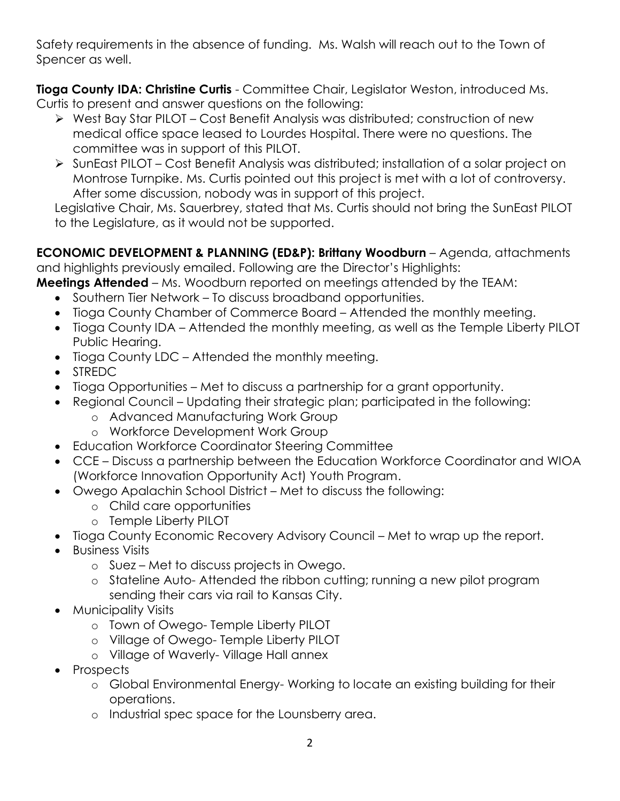Safety requirements in the absence of funding. Ms. Walsh will reach out to the Town of Spencer as well.

**Tioga County IDA: Christine Curtis** - Committee Chair, Legislator Weston, introduced Ms. Curtis to present and answer questions on the following:

- West Bay Star PILOT Cost Benefit Analysis was distributed; construction of new medical office space leased to Lourdes Hospital. There were no questions. The committee was in support of this PILOT.
- SunEast PILOT Cost Benefit Analysis was distributed; installation of a solar project on Montrose Turnpike. Ms. Curtis pointed out this project is met with a lot of controversy. After some discussion, nobody was in support of this project.

Legislative Chair, Ms. Sauerbrey, stated that Ms. Curtis should not bring the SunEast PILOT to the Legislature, as it would not be supported.

**ECONOMIC DEVELOPMENT & PLANNING (ED&P): Brittany Woodburn** – Agenda, attachments and highlights previously emailed. Following are the Director's Highlights:

**Meetings Attended** – Ms. Woodburn reported on meetings attended by the TEAM:

- Southern Tier Network To discuss broadband opportunities.
- Tioga County Chamber of Commerce Board Attended the monthly meeting.
- Tioga County IDA Attended the monthly meeting, as well as the Temple Liberty PILOT Public Hearing.
- Tioga County LDC Attended the monthly meeting.
- STREDC
- Tioga Opportunities Met to discuss a partnership for a grant opportunity.
- Regional Council Updating their strategic plan; participated in the following:
	- o Advanced Manufacturing Work Group
	- o Workforce Development Work Group
- Education Workforce Coordinator Steering Committee
- CCE Discuss a partnership between the Education Workforce Coordinator and WIOA (Workforce Innovation Opportunity Act) Youth Program.
- Owego Apalachin School District Met to discuss the following:
	- o Child care opportunities
	- o Temple Liberty PILOT
- Tioga County Economic Recovery Advisory Council Met to wrap up the report.
- Business Visits
	- o Suez Met to discuss projects in Owego.
	- o Stateline Auto- Attended the ribbon cutting; running a new pilot program sending their cars via rail to Kansas City.
- Municipality Visits
	- o Town of Owego- Temple Liberty PILOT
	- o Village of Owego- Temple Liberty PILOT
	- o Village of Waverly- Village Hall annex
- Prospects
	- o Global Environmental Energy- Working to locate an existing building for their operations.
	- o Industrial spec space for the Lounsberry area.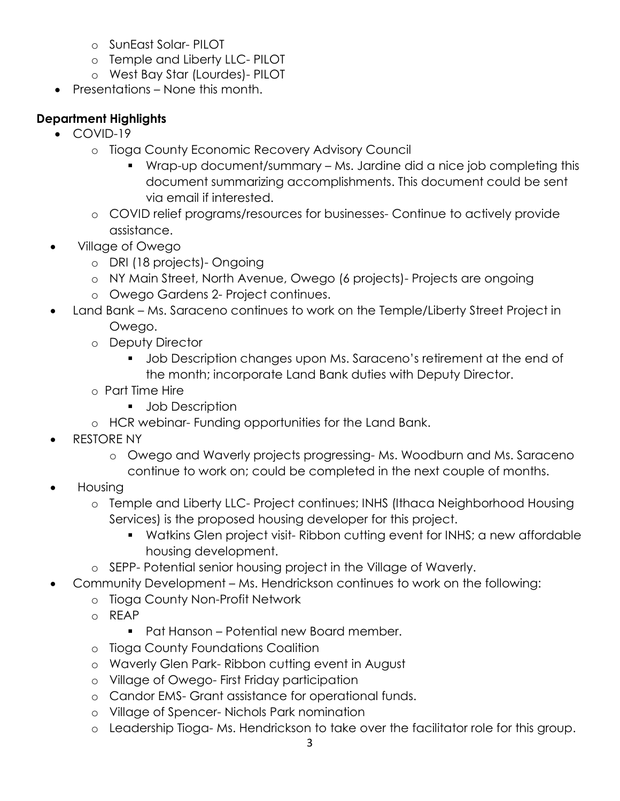- o SunEast Solar- PILOT
- o Temple and Liberty LLC- PILOT
- o West Bay Star (Lourdes)- PILOT
- Presentations None this month.

## **Department Highlights**

- $\bullet$  COVID-19
	- o Tioga County Economic Recovery Advisory Council
		- Wrap-up document/summary Ms. Jardine did a nice job completing this document summarizing accomplishments. This document could be sent via email if interested.
	- o COVID relief programs/resources for businesses- Continue to actively provide assistance.
- Village of Owego
	- o DRI (18 projects)- Ongoing
	- o NY Main Street, North Avenue, Owego (6 projects)- Projects are ongoing
	- o Owego Gardens 2- Project continues.
- Land Bank Ms. Saraceno continues to work on the Temple/Liberty Street Project in Owego.
	- o Deputy Director
		- **Job Description changes upon Ms. Saraceno's retirement at the end of** the month; incorporate Land Bank duties with Deputy Director.
	- o Part Time Hire
		- **Job Description**
	- o HCR webinar- Funding opportunities for the Land Bank.
- RESTORE NY
	- o Owego and Waverly projects progressing- Ms. Woodburn and Ms. Saraceno continue to work on; could be completed in the next couple of months.
- Housing
	- o Temple and Liberty LLC- Project continues; INHS (Ithaca Neighborhood Housing Services) is the proposed housing developer for this project.
		- Watkins Glen project visit- Ribbon cutting event for INHS; a new affordable housing development.
	- o SEPP- Potential senior housing project in the Village of Waverly.
- Community Development Ms. Hendrickson continues to work on the following:
	- o Tioga County Non-Profit Network
	- o REAP
		- Pat Hanson Potential new Board member.
	- o Tioga County Foundations Coalition
	- o Waverly Glen Park- Ribbon cutting event in August
	- o Village of Owego- First Friday participation
	- o Candor EMS- Grant assistance for operational funds.
	- o Village of Spencer- Nichols Park nomination
	- o Leadership Tioga- Ms. Hendrickson to take over the facilitator role for this group.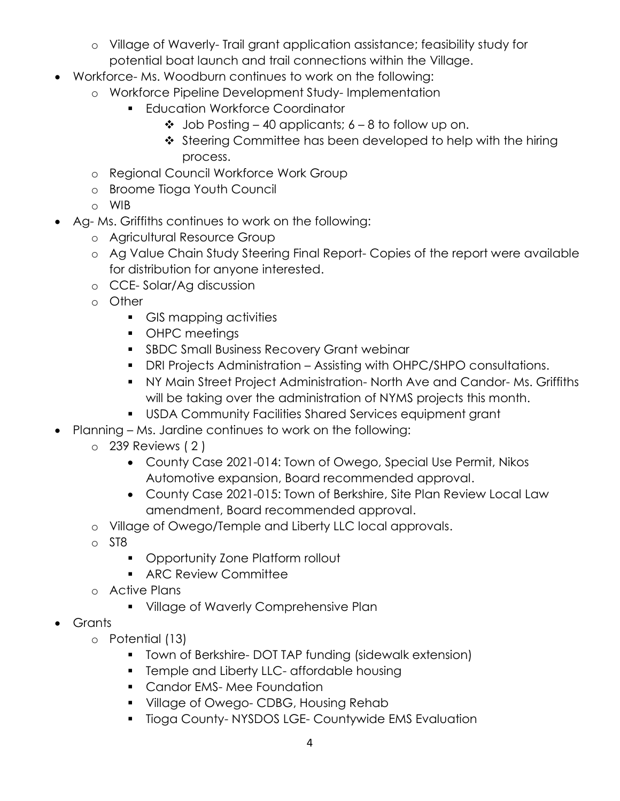- o Village of Waverly- Trail grant application assistance; feasibility study for potential boat launch and trail connections within the Village.
- Workforce- Ms. Woodburn continues to work on the following:
	- o Workforce Pipeline Development Study- Implementation
		- **Education Workforce Coordinator** 
			- $\div$  Job Posting 40 applicants; 6 8 to follow up on.
			- $\cdot$  Steering Committee has been developed to help with the hiring process.
	- o Regional Council Workforce Work Group
	- o Broome Tioga Youth Council
	- o WIB
- Ag- Ms. Griffiths continues to work on the following:
	- o Agricultural Resource Group
	- o Ag Value Chain Study Steering Final Report- Copies of the report were available for distribution for anyone interested.
	- o CCE- Solar/Ag discussion
	- o Other
		- GIS mapping activities
		- **•** OHPC meetings
		- **SBDC Small Business Recovery Grant webinar**
		- DRI Projects Administration Assisting with OHPC/SHPO consultations.
		- NY Main Street Project Administration- North Ave and Candor- Ms. Griffiths will be taking over the administration of NYMS projects this month.
		- USDA Community Facilities Shared Services equipment grant
- Planning Ms. Jardine continues to work on the following:
	- o 239 Reviews ( 2 )
		- County Case 2021-014: Town of Owego, Special Use Permit, Nikos Automotive expansion, Board recommended approval.
		- County Case 2021-015: Town of Berkshire, Site Plan Review Local Law amendment, Board recommended approval.
	- o Village of Owego/Temple and Liberty LLC local approvals.
	- o ST8
		- **Opportunity Zone Platform rollout**
		- **ARC Review Committee**
	- o Active Plans
		- **Village of Waverly Comprehensive Plan**
- Grants
	- o Potential (13)
		- **T** Town of Berkshire- DOT TAP funding (sidewalk extension)
		- **Fall Franch Endinger 1** Temple and Liberty LLC- affordable housing
		- **Candor EMS-Mee Foundation**
		- **Village of Owego- CDBG, Housing Rehab**
		- **Tioga County-NYSDOS LGE- Countywide EMS Evaluation**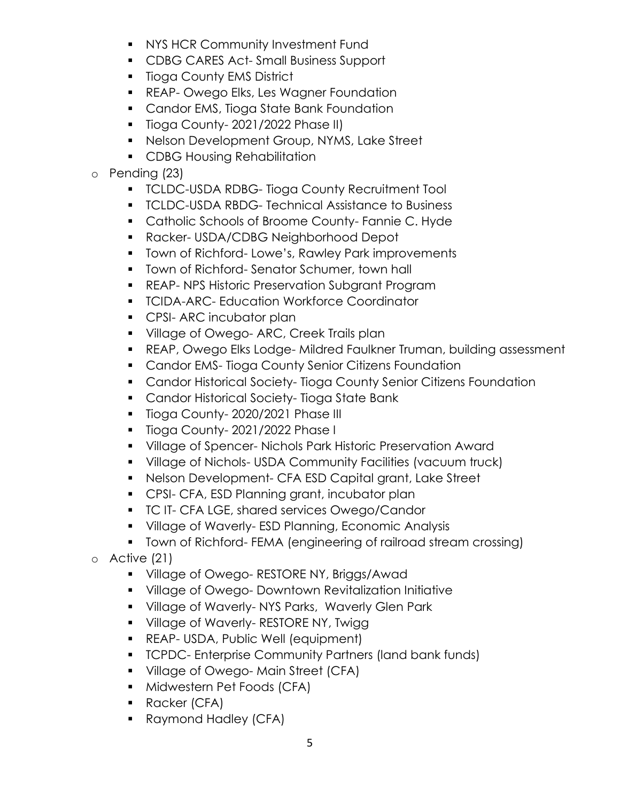- **NYS HCR Community Investment Fund**
- **CDBG CARES Act-Small Business Support**
- **Tioga County EMS District**
- **REAP- Owego Elks, Les Wagner Foundation**
- **Candor EMS, Tioga State Bank Foundation**
- **Tioga County-2021/2022 Phase II)**
- **Nelson Development Group, NYMS, Lake Street**
- **CDBG Housing Rehabilitation**

### o Pending (23)

- **TCLDC-USDA RDBG- Tioga County Recruitment Tool**
- **TCLDC-USDA RBDG- Technical Assistance to Business**
- **Catholic Schools of Broome County- Fannie C. Hyde**
- Racker- USDA/CDBG Neighborhood Depot
- **Town of Richford-Lowe's, Rawley Park improvements**
- **Town of Richford- Senator Schumer, town hall**
- **REAP- NPS Historic Preservation Subgrant Program**
- **TCIDA-ARC- Education Workforce Coordinator**
- **CPSI- ARC incubator plan**
- **Village of Owego- ARC, Creek Trails plan**
- REAP, Owego Elks Lodge- Mildred Faulkner Truman, building assessment
- **Candor EMS- Tioga County Senior Citizens Foundation**
- **Candor Historical Society- Tioga County Senior Citizens Foundation**
- **Candor Historical Society- Tioga State Bank**
- **Tioga County-2020/2021 Phase III**
- Tioga County-2021/2022 Phase I
- **Village of Spencer- Nichols Park Historic Preservation Award**
- Village of Nichols- USDA Community Facilities (vacuum truck)
- Nelson Development- CFA ESD Capital grant, Lake Street
- **CPSI- CFA, ESD Planning grant, incubator plan**
- **TC IT- CFA LGE, shared services Owego/Candor**
- **Village of Waverly-ESD Planning, Economic Analysis**
- Town of Richford- FEMA (engineering of railroad stream crossing)
- o Active (21)
	- **Village of Owego- RESTORE NY, Briggs/Awad**
	- Village of Owego- Downtown Revitalization Initiative
	- **Village of Waverly-NYS Parks, Waverly Glen Park**
	- **Village of Waverly- RESTORE NY, Twigg 1**
	- REAP- USDA, Public Well (equipment)
	- **TCPDC- Enterprise Community Partners (land bank funds)**
	- **Village of Owego-Main Street (CFA)**
	- **Midwestern Pet Foods (CFA)**
	- **Racker (CFA)**
	- **Raymond Hadley (CFA)**